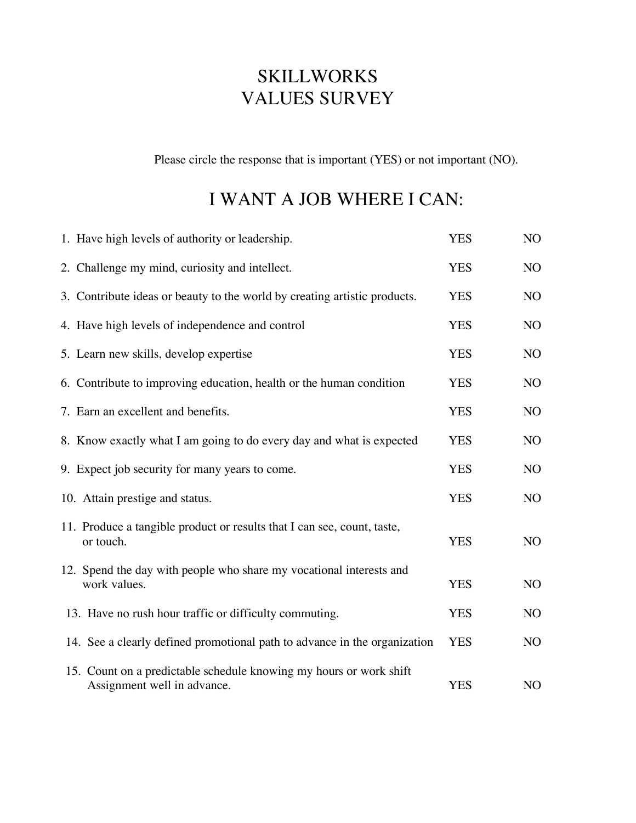## SKILLWORKS VALUES SURVEY

Please circle the response that is important (YES) or not important (NO).

## I WANT A JOB WHERE I CAN:

| 1. Have high levels of authority or leadership.                                                   | <b>YES</b> | NO             |
|---------------------------------------------------------------------------------------------------|------------|----------------|
| 2. Challenge my mind, curiosity and intellect.                                                    | <b>YES</b> | NO             |
| 3. Contribute ideas or beauty to the world by creating artistic products.                         | <b>YES</b> | N <sub>O</sub> |
| 4. Have high levels of independence and control                                                   | <b>YES</b> | N <sub>O</sub> |
| 5. Learn new skills, develop expertise                                                            | <b>YES</b> | N <sub>O</sub> |
| 6. Contribute to improving education, health or the human condition                               | <b>YES</b> | N <sub>O</sub> |
| 7. Earn an excellent and benefits.                                                                | <b>YES</b> | N <sub>O</sub> |
| 8. Know exactly what I am going to do every day and what is expected                              | <b>YES</b> | N <sub>O</sub> |
| 9. Expect job security for many years to come.                                                    | <b>YES</b> | N <sub>O</sub> |
| 10. Attain prestige and status.                                                                   | <b>YES</b> | NO             |
| 11. Produce a tangible product or results that I can see, count, taste,<br>or touch.              | <b>YES</b> | N <sub>O</sub> |
| 12. Spend the day with people who share my vocational interests and<br>work values.               | <b>YES</b> | N <sub>O</sub> |
| 13. Have no rush hour traffic or difficulty commuting.                                            | <b>YES</b> | N <sub>O</sub> |
| 14. See a clearly defined promotional path to advance in the organization                         | <b>YES</b> | N <sub>O</sub> |
| 15. Count on a predictable schedule knowing my hours or work shift<br>Assignment well in advance. | <b>YES</b> | N <sub>O</sub> |